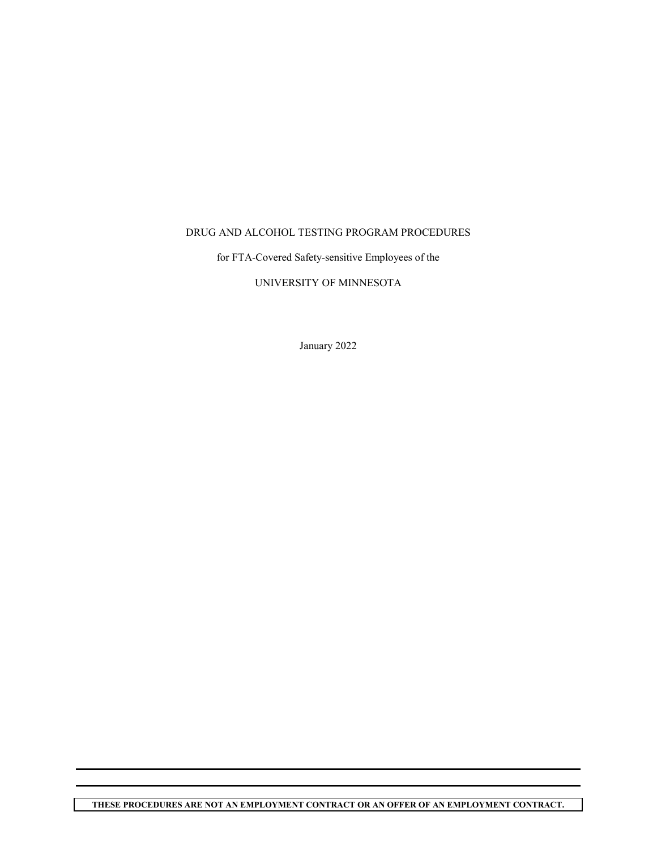## DRUG AND ALCOHOL TESTING PROGRAM PROCEDURES

for FTA-Covered Safety-sensitive Employees of the

## UNIVERSITY OF MINNESOTA

January 2022

**THESE PROCEDURES ARE NOT AN EMPLOYMENT CONTRACT OR AN OFFER OF AN EMPLOYMENT CONTRACT.**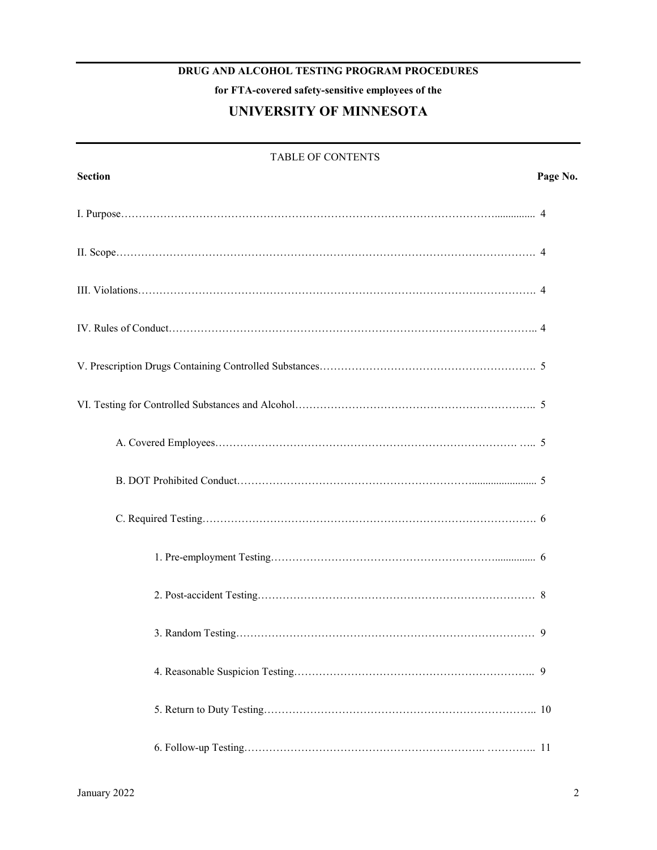# **DRUG AND ALCOHOL TESTING PROGRAM PROCEDURES**

**for FTA-covered safety-sensitive employees of the**

# **UNIVERSITY OF MINNESOTA**

| <b>TABLE OF CONTENTS</b> |          |  |
|--------------------------|----------|--|
| <b>Section</b>           | Page No. |  |
|                          |          |  |
|                          |          |  |
|                          |          |  |
|                          |          |  |
|                          |          |  |
|                          |          |  |
|                          |          |  |
|                          |          |  |
|                          |          |  |
|                          |          |  |
|                          |          |  |
|                          | .9       |  |
|                          |          |  |
|                          |          |  |
|                          |          |  |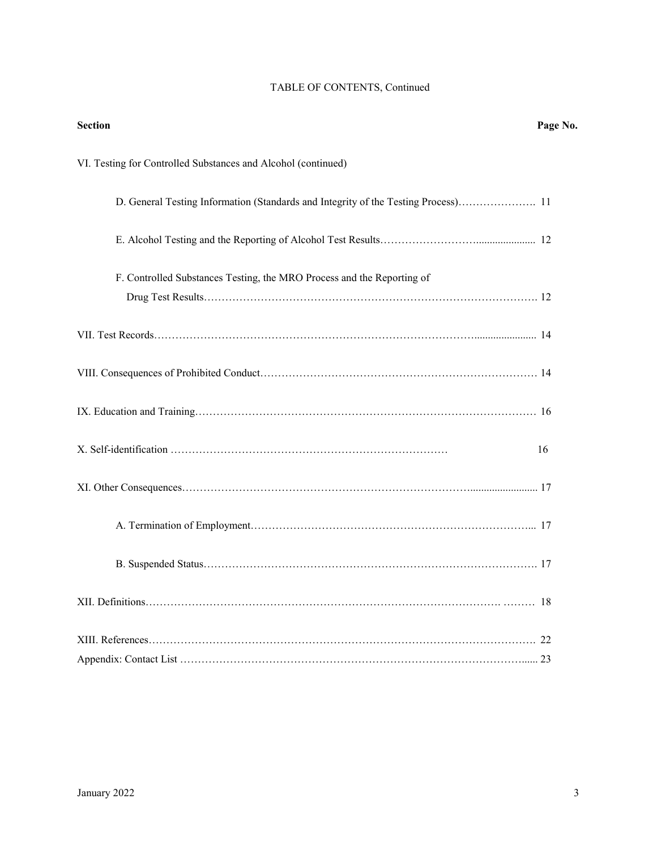| <b>Section</b>                                                                     | Page No. |
|------------------------------------------------------------------------------------|----------|
| VI. Testing for Controlled Substances and Alcohol (continued)                      |          |
| D. General Testing Information (Standards and Integrity of the Testing Process) 11 |          |
|                                                                                    |          |
| F. Controlled Substances Testing, the MRO Process and the Reporting of             |          |
|                                                                                    |          |
|                                                                                    |          |
|                                                                                    |          |
|                                                                                    |          |
|                                                                                    | 16       |
|                                                                                    |          |
|                                                                                    |          |
|                                                                                    |          |
|                                                                                    |          |
|                                                                                    |          |
|                                                                                    |          |

## TABLE OF CONTENTS, Continued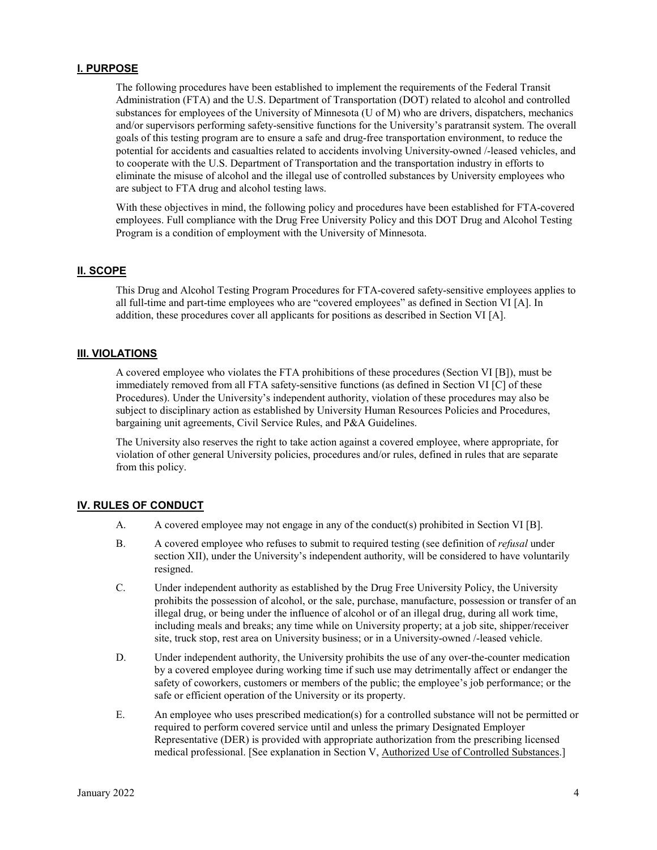#### **I. PURPOSE**

The following procedures have been established to implement the requirements of the Federal Transit Administration (FTA) and the U.S. Department of Transportation (DOT) related to alcohol and controlled substances for employees of the University of Minnesota (U of M) who are drivers, dispatchers, mechanics and/or supervisors performing safety-sensitive functions for the University's paratransit system. The overall goals of this testing program are to ensure a safe and drug-free transportation environment, to reduce the potential for accidents and casualties related to accidents involving University-owned /-leased vehicles, and to cooperate with the U.S. Department of Transportation and the transportation industry in efforts to eliminate the misuse of alcohol and the illegal use of controlled substances by University employees who are subject to FTA drug and alcohol testing laws.

With these objectives in mind, the following policy and procedures have been established for FTA-covered employees. Full compliance with the Drug Free University Policy and this DOT Drug and Alcohol Testing Program is a condition of employment with the University of Minnesota.

#### **II. SCOPE**

This Drug and Alcohol Testing Program Procedures for FTA-covered safety-sensitive employees applies to all full-time and part-time employees who are "covered employees" as defined in Section VI [A]. In addition, these procedures cover all applicants for positions as described in Section VI [A].

#### **III. VIOLATIONS**

A covered employee who violates the FTA prohibitions of these procedures (Section VI [B]), must be immediately removed from all FTA safety-sensitive functions (as defined in Section VI [C] of these Procedures). Under the University's independent authority, violation of these procedures may also be subject to disciplinary action as established by University Human Resources Policies and Procedures, bargaining unit agreements, Civil Service Rules, and P&A Guidelines.

The University also reserves the right to take action against a covered employee, where appropriate, for violation of other general University policies, procedures and/or rules, defined in rules that are separate from this policy.

#### **IV. RULES OF CONDUCT**

- A. A covered employee may not engage in any of the conduct(s) prohibited in Section VI [B].
- B. A covered employee who refuses to submit to required testing (see definition of *refusal* under section XII), under the University's independent authority, will be considered to have voluntarily resigned.
- C. Under independent authority as established by the Drug Free University Policy, the University prohibits the possession of alcohol, or the sale, purchase, manufacture, possession or transfer of an illegal drug, or being under the influence of alcohol or of an illegal drug, during all work time, including meals and breaks; any time while on University property; at a job site, shipper/receiver site, truck stop, rest area on University business; or in a University-owned /-leased vehicle.
- D. Under independent authority, the University prohibits the use of any over-the-counter medication by a covered employee during working time if such use may detrimentally affect or endanger the safety of coworkers, customers or members of the public; the employee's job performance; or the safe or efficient operation of the University or its property.
- E. An employee who uses prescribed medication(s) for a controlled substance will not be permitted or required to perform covered service until and unless the primary Designated Employer Representative (DER) is provided with appropriate authorization from the prescribing licensed medical professional. [See explanation in Section V, Authorized Use of Controlled Substances.]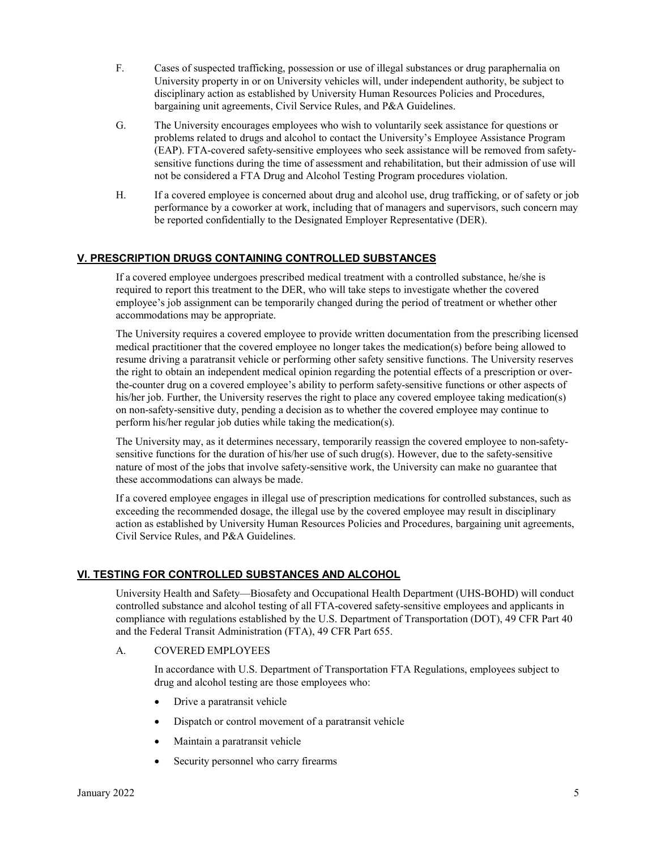- F. Cases of suspected trafficking, possession or use of illegal substances or drug paraphernalia on University property in or on University vehicles will, under independent authority, be subject to disciplinary action as established by University Human Resources Policies and Procedures, bargaining unit agreements, Civil Service Rules, and P&A Guidelines.
- G. The University encourages employees who wish to voluntarily seek assistance for questions or problems related to drugs and alcohol to contact the University's Employee Assistance Program (EAP). FTA-covered safety-sensitive employees who seek assistance will be removed from safetysensitive functions during the time of assessment and rehabilitation, but their admission of use will not be considered a FTA Drug and Alcohol Testing Program procedures violation.
- H. If a covered employee is concerned about drug and alcohol use, drug trafficking, or of safety or job performance by a coworker at work, including that of managers and supervisors, such concern may be reported confidentially to the Designated Employer Representative (DER).

## **V. PRESCRIPTION DRUGS CONTAINING CONTROLLED SUBSTANCES**

If a covered employee undergoes prescribed medical treatment with a controlled substance, he/she is required to report this treatment to the DER, who will take steps to investigate whether the covered employee's job assignment can be temporarily changed during the period of treatment or whether other accommodations may be appropriate.

The University requires a covered employee to provide written documentation from the prescribing licensed medical practitioner that the covered employee no longer takes the medication(s) before being allowed to resume driving a paratransit vehicle or performing other safety sensitive functions. The University reserves the right to obtain an independent medical opinion regarding the potential effects of a prescription or overthe-counter drug on a covered employee's ability to perform safety-sensitive functions or other aspects of his/her job. Further, the University reserves the right to place any covered employee taking medication(s) on non-safety-sensitive duty, pending a decision as to whether the covered employee may continue to perform his/her regular job duties while taking the medication(s).

The University may, as it determines necessary, temporarily reassign the covered employee to non-safetysensitive functions for the duration of his/her use of such drug(s). However, due to the safety-sensitive nature of most of the jobs that involve safety-sensitive work, the University can make no guarantee that these accommodations can always be made.

If a covered employee engages in illegal use of prescription medications for controlled substances, such as exceeding the recommended dosage, the illegal use by the covered employee may result in disciplinary action as established by University Human Resources Policies and Procedures, bargaining unit agreements, Civil Service Rules, and P&A Guidelines.

#### **VI. TESTING FOR CONTROLLED SUBSTANCES AND ALCOHOL**

University Health and Safety—Biosafety and Occupational Health Department (UHS-BOHD) will conduct controlled substance and alcohol testing of all FTA-covered safety-sensitive employees and applicants in compliance with regulations established by the U.S. Department of Transportation (DOT), 49 CFR Part 40 and the Federal Transit Administration (FTA), 49 CFR Part 655.

#### A. COVERED EMPLOYEES

In accordance with U.S. Department of Transportation FTA Regulations, employees subject to drug and alcohol testing are those employees who:

- Drive a paratransit vehicle
- Dispatch or control movement of a paratransit vehicle
- Maintain a paratransit vehicle
- Security personnel who carry firearms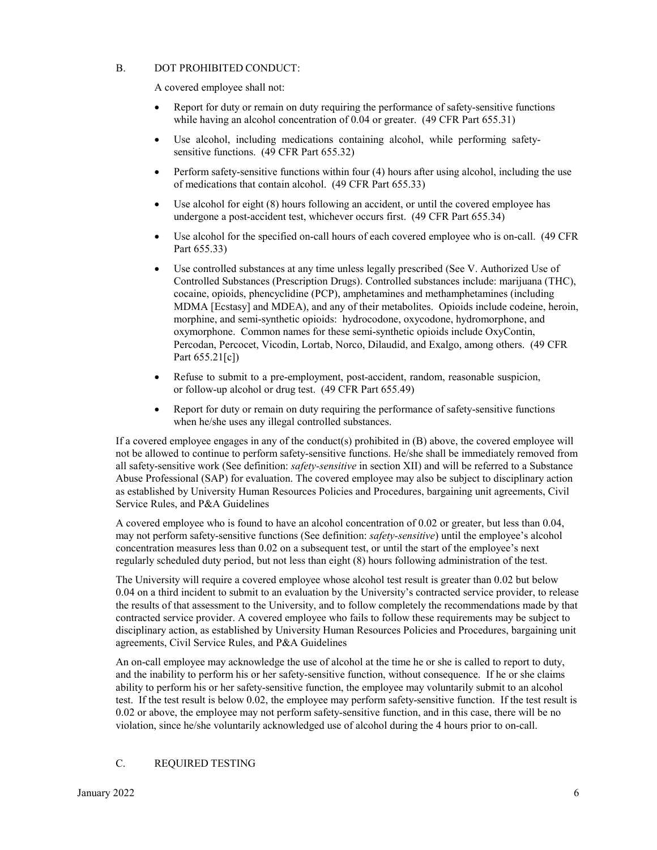### B. DOT PROHIBITED CONDUCT:

A covered employee shall not:

- Report for duty or remain on duty requiring the performance of safety-sensitive functions while having an alcohol concentration of 0.04 or greater. (49 CFR Part 655.31)
- Use alcohol, including medications containing alcohol, while performing safetysensitive functions. (49 CFR Part 655.32)
- Perform safety-sensitive functions within four (4) hours after using alcohol, including the use of medications that contain alcohol. (49 CFR Part 655.33)
- Use alcohol for eight (8) hours following an accident, or until the covered employee has undergone a post-accident test, whichever occurs first. (49 CFR Part 655.34)
- Use alcohol for the specified on-call hours of each covered employee who is on-call. (49 CFR Part 655.33)
- Use controlled substances at any time unless legally prescribed (See V. Authorized Use of Controlled Substances (Prescription Drugs). Controlled substances include: marijuana (THC), cocaine, opioids, phencyclidine (PCP), amphetamines and methamphetamines (including MDMA [Ecstasy] and MDEA), and any of their metabolites. Opioids include codeine, heroin, morphine, and semi-synthetic opioids: hydrocodone, oxycodone, hydromorphone, and oxymorphone. Common names for these semi-synthetic opioids include OxyContin, Percodan, Percocet, Vicodin, Lortab, Norco, Dilaudid, and Exalgo, among others. (49 CFR Part 655.21[c])
- Refuse to submit to a pre-employment, post-accident, random, reasonable suspicion, or follow-up alcohol or drug test. (49 CFR Part 655.49)
- Report for duty or remain on duty requiring the performance of safety-sensitive functions when he/she uses any illegal controlled substances.

If a covered employee engages in any of the conduct(s) prohibited in (B) above, the covered employee will not be allowed to continue to perform safety-sensitive functions. He/she shall be immediately removed from all safety-sensitive work (See definition: *safety-sensitive* in section XII) and will be referred to a Substance Abuse Professional (SAP) for evaluation. The covered employee may also be subject to disciplinary action as established by University Human Resources Policies and Procedures, bargaining unit agreements, Civil Service Rules, and P&A Guidelines

A covered employee who is found to have an alcohol concentration of 0.02 or greater, but less than 0.04, may not perform safety-sensitive functions (See definition: *safety-sensitive*) until the employee's alcohol concentration measures less than 0.02 on a subsequent test, or until the start of the employee's next regularly scheduled duty period, but not less than eight (8) hours following administration of the test.

The University will require a covered employee whose alcohol test result is greater than 0.02 but below 0.04 on a third incident to submit to an evaluation by the University's contracted service provider, to release the results of that assessment to the University, and to follow completely the recommendations made by that contracted service provider. A covered employee who fails to follow these requirements may be subject to disciplinary action, as established by University Human Resources Policies and Procedures, bargaining unit agreements, Civil Service Rules, and P&A Guidelines

An on-call employee may acknowledge the use of alcohol at the time he or she is called to report to duty, and the inability to perform his or her safety-sensitive function, without consequence. If he or she claims ability to perform his or her safety-sensitive function, the employee may voluntarily submit to an alcohol test. If the test result is below 0.02, the employee may perform safety-sensitive function. If the test result is 0.02 or above, the employee may not perform safety-sensitive function, and in this case, there will be no violation, since he/she voluntarily acknowledged use of alcohol during the 4 hours prior to on-call.

#### C. REQUIRED TESTING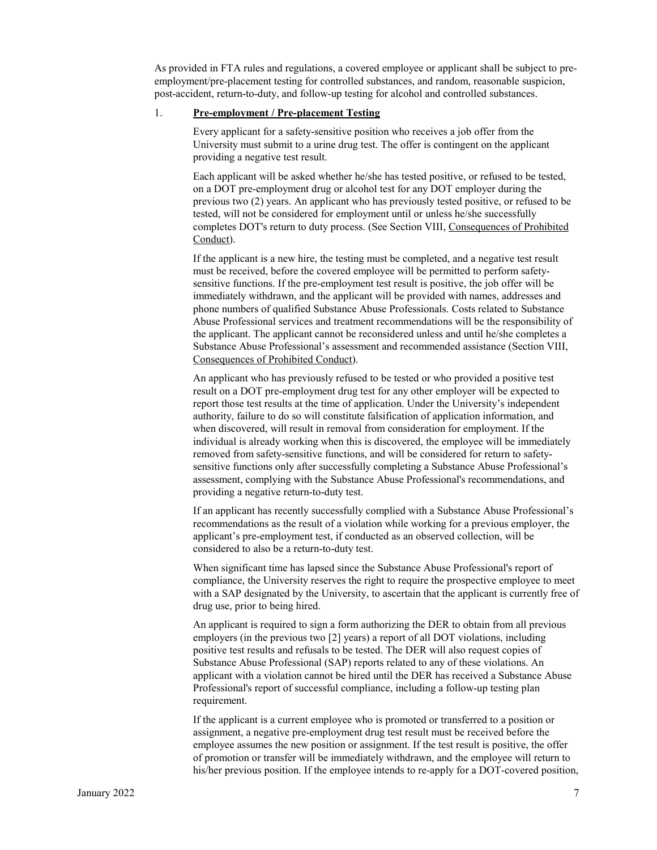As provided in FTA rules and regulations, a covered employee or applicant shall be subject to preemployment/pre-placement testing for controlled substances, and random, reasonable suspicion, post-accident, return-to-duty, and follow-up testing for alcohol and controlled substances.

#### 1. **Pre-employment / Pre-placement Testing**

Every applicant for a safety-sensitive position who receives a job offer from the University must submit to a urine drug test. The offer is contingent on the applicant providing a negative test result.

Each applicant will be asked whether he/she has tested positive, or refused to be tested, on a DOT pre-employment drug or alcohol test for any DOT employer during the previous two (2) years. An applicant who has previously tested positive, or refused to be tested, will not be considered for employment until or unless he/she successfully completes DOT's return to duty process. (See Section VIII, Consequences of Prohibited Conduct).

If the applicant is a new hire, the testing must be completed, and a negative test result must be received, before the covered employee will be permitted to perform safetysensitive functions. If the pre-employment test result is positive, the job offer will be immediately withdrawn, and the applicant will be provided with names, addresses and phone numbers of qualified Substance Abuse Professionals. Costs related to Substance Abuse Professional services and treatment recommendations will be the responsibility of the applicant. The applicant cannot be reconsidered unless and until he/she completes a Substance Abuse Professional's assessment and recommended assistance (Section VIII, Consequences of Prohibited Conduct).

An applicant who has previously refused to be tested or who provided a positive test result on a DOT pre-employment drug test for any other employer will be expected to report those test results at the time of application. Under the University's independent authority, failure to do so will constitute falsification of application information, and when discovered, will result in removal from consideration for employment. If the individual is already working when this is discovered, the employee will be immediately removed from safety-sensitive functions, and will be considered for return to safetysensitive functions only after successfully completing a Substance Abuse Professional's assessment, complying with the Substance Abuse Professional's recommendations, and providing a negative return-to-duty test.

If an applicant has recently successfully complied with a Substance Abuse Professional's recommendations as the result of a violation while working for a previous employer, the applicant's pre-employment test, if conducted as an observed collection, will be considered to also be a return-to-duty test.

When significant time has lapsed since the Substance Abuse Professional's report of compliance, the University reserves the right to require the prospective employee to meet with a SAP designated by the University, to ascertain that the applicant is currently free of drug use, prior to being hired.

An applicant is required to sign a form authorizing the DER to obtain from all previous employers (in the previous two [2] years) a report of all DOT violations, including positive test results and refusals to be tested. The DER will also request copies of Substance Abuse Professional (SAP) reports related to any of these violations. An applicant with a violation cannot be hired until the DER has received a Substance Abuse Professional's report of successful compliance, including a follow-up testing plan requirement.

If the applicant is a current employee who is promoted or transferred to a position or assignment, a negative pre-employment drug test result must be received before the employee assumes the new position or assignment. If the test result is positive, the offer of promotion or transfer will be immediately withdrawn, and the employee will return to his/her previous position. If the employee intends to re-apply for a DOT-covered position,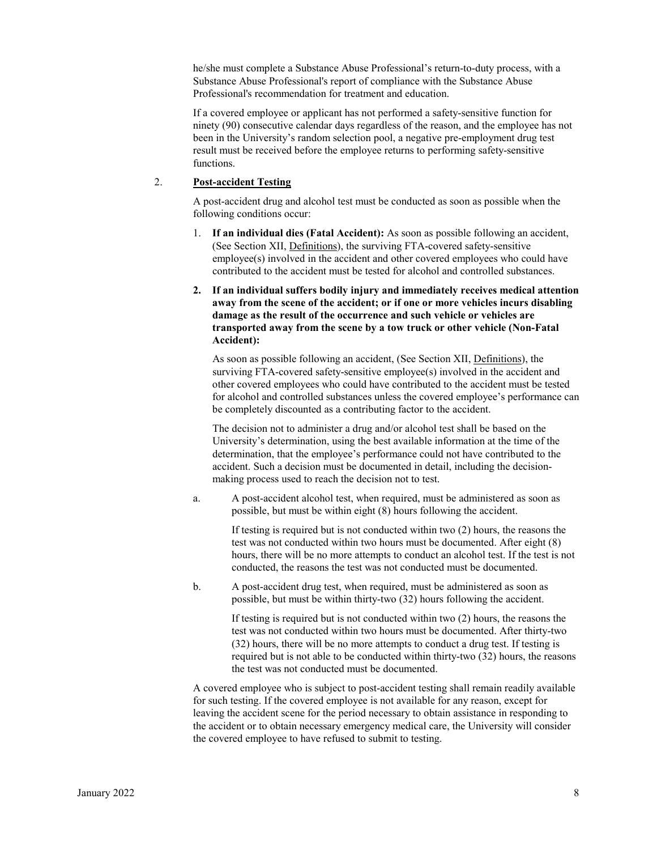he/she must complete a Substance Abuse Professional's return-to-duty process, with a Substance Abuse Professional's report of compliance with the Substance Abuse Professional's recommendation for treatment and education.

If a covered employee or applicant has not performed a safety-sensitive function for ninety (90) consecutive calendar days regardless of the reason, and the employee has not been in the University's random selection pool, a negative pre-employment drug test result must be received before the employee returns to performing safety-sensitive functions.

## 2. **Post-accident Testing**

A post-accident drug and alcohol test must be conducted as soon as possible when the following conditions occur:

- 1. **If an individual dies (Fatal Accident):** As soon as possible following an accident, (See Section XII, Definitions), the surviving FTA-covered safety-sensitive employee(s) involved in the accident and other covered employees who could have contributed to the accident must be tested for alcohol and controlled substances.
- **2. If an individual suffers bodily injury and immediately receives medical attention away from the scene of the accident; or if one or more vehicles incurs disabling damage as the result of the occurrence and such vehicle or vehicles are transported away from the scene by a tow truck or other vehicle (Non-Fatal Accident):**

As soon as possible following an accident, (See Section XII, Definitions), the surviving FTA-covered safety-sensitive employee(s) involved in the accident and other covered employees who could have contributed to the accident must be tested for alcohol and controlled substances unless the covered employee's performance can be completely discounted as a contributing factor to the accident.

The decision not to administer a drug and/or alcohol test shall be based on the University's determination, using the best available information at the time of the determination, that the employee's performance could not have contributed to the accident. Such a decision must be documented in detail, including the decisionmaking process used to reach the decision not to test.

a. A post-accident alcohol test, when required, must be administered as soon as possible, but must be within eight (8) hours following the accident.

If testing is required but is not conducted within two (2) hours, the reasons the test was not conducted within two hours must be documented. After eight (8) hours, there will be no more attempts to conduct an alcohol test. If the test is not conducted, the reasons the test was not conducted must be documented.

b. A post-accident drug test, when required, must be administered as soon as possible, but must be within thirty-two (32) hours following the accident.

> If testing is required but is not conducted within two (2) hours, the reasons the test was not conducted within two hours must be documented. After thirty-two (32) hours, there will be no more attempts to conduct a drug test. If testing is required but is not able to be conducted within thirty-two (32) hours, the reasons the test was not conducted must be documented.

A covered employee who is subject to post-accident testing shall remain readily available for such testing. If the covered employee is not available for any reason, except for leaving the accident scene for the period necessary to obtain assistance in responding to the accident or to obtain necessary emergency medical care, the University will consider the covered employee to have refused to submit to testing.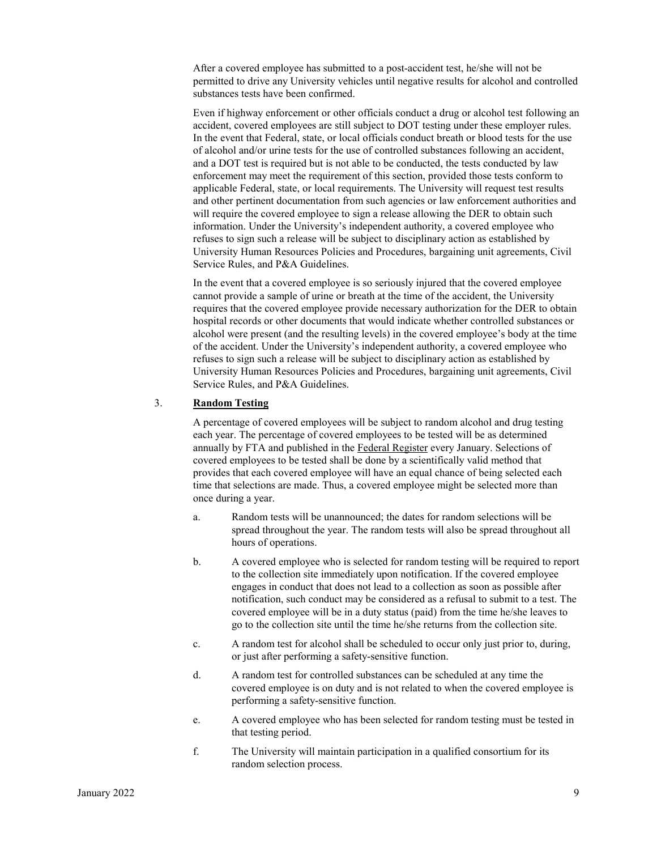After a covered employee has submitted to a post-accident test, he/she will not be permitted to drive any University vehicles until negative results for alcohol and controlled substances tests have been confirmed.

Even if highway enforcement or other officials conduct a drug or alcohol test following an accident, covered employees are still subject to DOT testing under these employer rules. In the event that Federal, state, or local officials conduct breath or blood tests for the use of alcohol and/or urine tests for the use of controlled substances following an accident, and a DOT test is required but is not able to be conducted, the tests conducted by law enforcement may meet the requirement of this section, provided those tests conform to applicable Federal, state, or local requirements. The University will request test results and other pertinent documentation from such agencies or law enforcement authorities and will require the covered employee to sign a release allowing the DER to obtain such information. Under the University's independent authority, a covered employee who refuses to sign such a release will be subject to disciplinary action as established by University Human Resources Policies and Procedures, bargaining unit agreements, Civil Service Rules, and P&A Guidelines.

In the event that a covered employee is so seriously injured that the covered employee cannot provide a sample of urine or breath at the time of the accident, the University requires that the covered employee provide necessary authorization for the DER to obtain hospital records or other documents that would indicate whether controlled substances or alcohol were present (and the resulting levels) in the covered employee's body at the time of the accident. Under the University's independent authority, a covered employee who refuses to sign such a release will be subject to disciplinary action as established by University Human Resources Policies and Procedures, bargaining unit agreements, Civil Service Rules, and P&A Guidelines.

#### 3. **Random Testing**

A percentage of covered employees will be subject to random alcohol and drug testing each year. The percentage of covered employees to be tested will be as determined annually by FTA and published in the Federal Register every January. Selections of covered employees to be tested shall be done by a scientifically valid method that provides that each covered employee will have an equal chance of being selected each time that selections are made. Thus, a covered employee might be selected more than once during a year.

- a. Random tests will be unannounced; the dates for random selections will be spread throughout the year. The random tests will also be spread throughout all hours of operations.
- b. A covered employee who is selected for random testing will be required to report to the collection site immediately upon notification. If the covered employee engages in conduct that does not lead to a collection as soon as possible after notification, such conduct may be considered as a refusal to submit to a test. The covered employee will be in a duty status (paid) from the time he/she leaves to go to the collection site until the time he/she returns from the collection site.
- c. A random test for alcohol shall be scheduled to occur only just prior to, during, or just after performing a safety-sensitive function.
- d. A random test for controlled substances can be scheduled at any time the covered employee is on duty and is not related to when the covered employee is performing a safety-sensitive function.
- e. A covered employee who has been selected for random testing must be tested in that testing period.
- f. The University will maintain participation in a qualified consortium for its random selection process.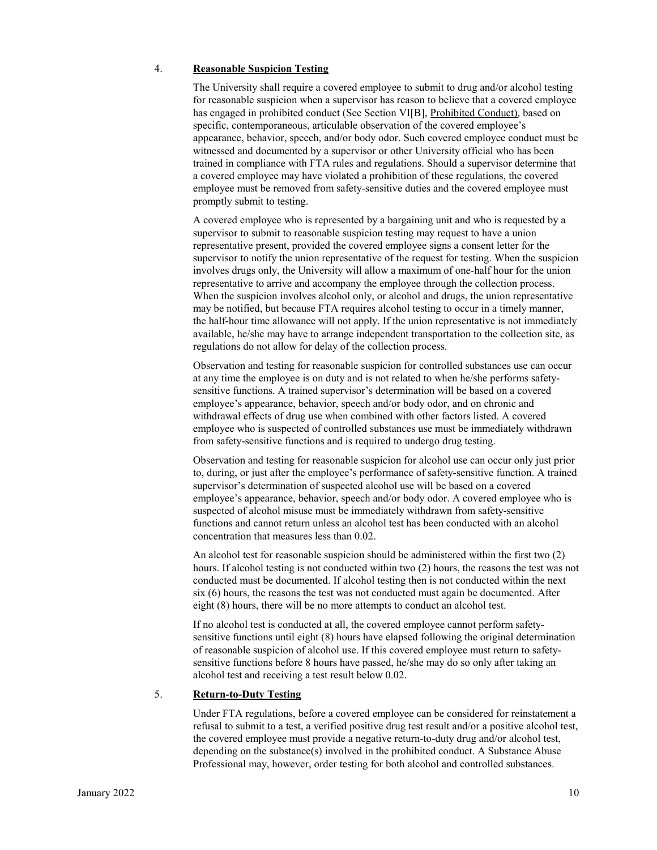#### 4. **Reasonable Suspicion Testing**

The University shall require a covered employee to submit to drug and/or alcohol testing for reasonable suspicion when a supervisor has reason to believe that a covered employee has engaged in prohibited conduct (See Section VI[B], Prohibited Conduct), based on specific, contemporaneous, articulable observation of the covered employee's appearance, behavior, speech, and/or body odor. Such covered employee conduct must be witnessed and documented by a supervisor or other University official who has been trained in compliance with FTA rules and regulations. Should a supervisor determine that a covered employee may have violated a prohibition of these regulations, the covered employee must be removed from safety-sensitive duties and the covered employee must promptly submit to testing.

A covered employee who is represented by a bargaining unit and who is requested by a supervisor to submit to reasonable suspicion testing may request to have a union representative present, provided the covered employee signs a consent letter for the supervisor to notify the union representative of the request for testing. When the suspicion involves drugs only, the University will allow a maximum of one-half hour for the union representative to arrive and accompany the employee through the collection process. When the suspicion involves alcohol only, or alcohol and drugs, the union representative may be notified, but because FTA requires alcohol testing to occur in a timely manner, the half-hour time allowance will not apply. If the union representative is not immediately available, he/she may have to arrange independent transportation to the collection site, as regulations do not allow for delay of the collection process.

Observation and testing for reasonable suspicion for controlled substances use can occur at any time the employee is on duty and is not related to when he/she performs safetysensitive functions. A trained supervisor's determination will be based on a covered employee's appearance, behavior, speech and/or body odor, and on chronic and withdrawal effects of drug use when combined with other factors listed. A covered employee who is suspected of controlled substances use must be immediately withdrawn from safety-sensitive functions and is required to undergo drug testing.

Observation and testing for reasonable suspicion for alcohol use can occur only just prior to, during, or just after the employee's performance of safety-sensitive function. A trained supervisor's determination of suspected alcohol use will be based on a covered employee's appearance, behavior, speech and/or body odor. A covered employee who is suspected of alcohol misuse must be immediately withdrawn from safety-sensitive functions and cannot return unless an alcohol test has been conducted with an alcohol concentration that measures less than 0.02.

An alcohol test for reasonable suspicion should be administered within the first two (2) hours. If alcohol testing is not conducted within two (2) hours, the reasons the test was not conducted must be documented. If alcohol testing then is not conducted within the next six (6) hours, the reasons the test was not conducted must again be documented. After eight (8) hours, there will be no more attempts to conduct an alcohol test.

If no alcohol test is conducted at all, the covered employee cannot perform safetysensitive functions until eight (8) hours have elapsed following the original determination of reasonable suspicion of alcohol use. If this covered employee must return to safetysensitive functions before 8 hours have passed, he/she may do so only after taking an alcohol test and receiving a test result below 0.02.

#### 5. **Return-to-Duty Testing**

Under FTA regulations, before a covered employee can be considered for reinstatement a refusal to submit to a test, a verified positive drug test result and/or a positive alcohol test, the covered employee must provide a negative return-to-duty drug and/or alcohol test, depending on the substance(s) involved in the prohibited conduct. A Substance Abuse Professional may, however, order testing for both alcohol and controlled substances.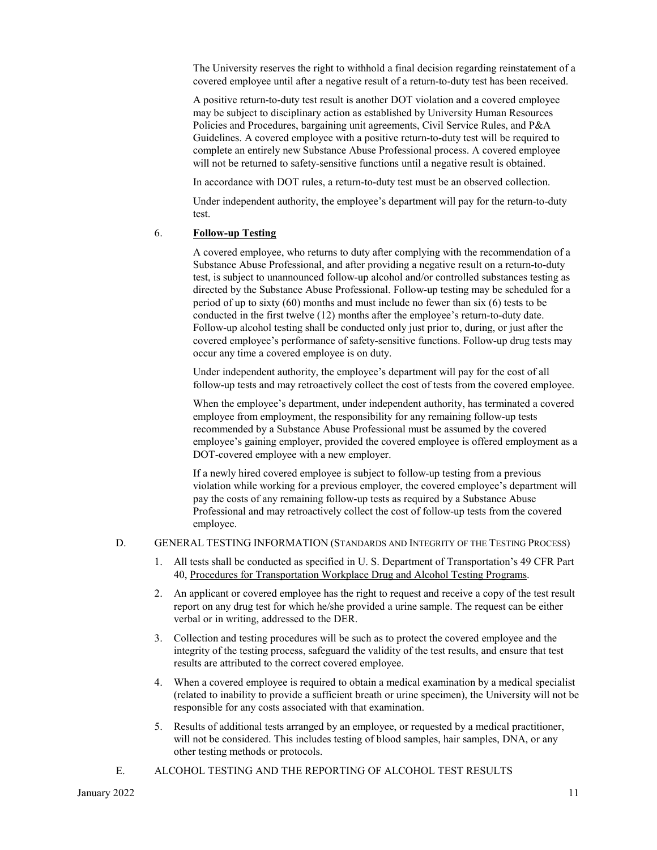The University reserves the right to withhold a final decision regarding reinstatement of a covered employee until after a negative result of a return-to-duty test has been received.

A positive return-to-duty test result is another DOT violation and a covered employee may be subject to disciplinary action as established by University Human Resources Policies and Procedures, bargaining unit agreements, Civil Service Rules, and P&A Guidelines. A covered employee with a positive return-to-duty test will be required to complete an entirely new Substance Abuse Professional process. A covered employee will not be returned to safety-sensitive functions until a negative result is obtained.

In accordance with DOT rules, a return-to-duty test must be an observed collection.

Under independent authority, the employee's department will pay for the return-to-duty test.

#### 6. **Follow-up Testing**

A covered employee, who returns to duty after complying with the recommendation of a Substance Abuse Professional, and after providing a negative result on a return-to-duty test, is subject to unannounced follow-up alcohol and/or controlled substances testing as directed by the Substance Abuse Professional. Follow-up testing may be scheduled for a period of up to sixty (60) months and must include no fewer than six (6) tests to be conducted in the first twelve (12) months after the employee's return-to-duty date. Follow-up alcohol testing shall be conducted only just prior to, during, or just after the covered employee's performance of safety-sensitive functions. Follow-up drug tests may occur any time a covered employee is on duty.

Under independent authority, the employee's department will pay for the cost of all follow-up tests and may retroactively collect the cost of tests from the covered employee.

When the employee's department, under independent authority, has terminated a covered employee from employment, the responsibility for any remaining follow-up tests recommended by a Substance Abuse Professional must be assumed by the covered employee's gaining employer, provided the covered employee is offered employment as a DOT-covered employee with a new employer.

If a newly hired covered employee is subject to follow-up testing from a previous violation while working for a previous employer, the covered employee's department will pay the costs of any remaining follow-up tests as required by a Substance Abuse Professional and may retroactively collect the cost of follow-up tests from the covered employee.

#### D. GENERAL TESTING INFORMATION (STANDARDS AND INTEGRITY OF THE TESTING PROCESS)

- 1. All tests shall be conducted as specified in U. S. Department of Transportation's 49 CFR Part 40, Procedures for Transportation Workplace Drug and Alcohol Testing Programs.
- 2. An applicant or covered employee has the right to request and receive a copy of the test result report on any drug test for which he/she provided a urine sample. The request can be either verbal or in writing, addressed to the DER.
- 3. Collection and testing procedures will be such as to protect the covered employee and the integrity of the testing process, safeguard the validity of the test results, and ensure that test results are attributed to the correct covered employee.
- 4. When a covered employee is required to obtain a medical examination by a medical specialist (related to inability to provide a sufficient breath or urine specimen), the University will not be responsible for any costs associated with that examination.
- 5. Results of additional tests arranged by an employee, or requested by a medical practitioner, will not be considered. This includes testing of blood samples, hair samples, DNA, or any other testing methods or protocols.
- E. ALCOHOL TESTING AND THE REPORTING OF ALCOHOL TEST RESULTS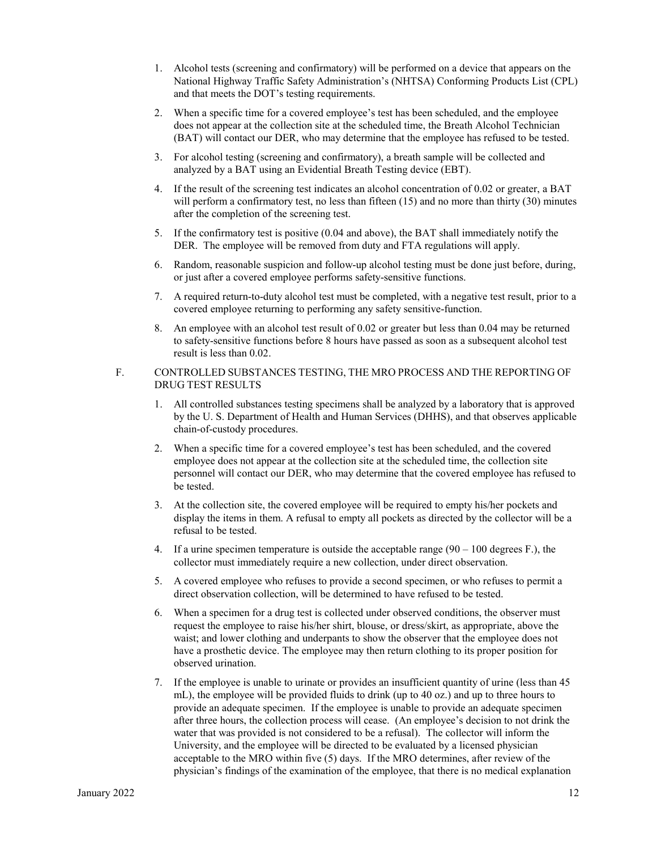- 1. Alcohol tests (screening and confirmatory) will be performed on a device that appears on the National Highway Traffic Safety Administration's (NHTSA) Conforming Products List (CPL) and that meets the DOT's testing requirements.
- 2. When a specific time for a covered employee's test has been scheduled, and the employee does not appear at the collection site at the scheduled time, the Breath Alcohol Technician (BAT) will contact our DER, who may determine that the employee has refused to be tested.
- 3. For alcohol testing (screening and confirmatory), a breath sample will be collected and analyzed by a BAT using an Evidential Breath Testing device (EBT).
- 4. If the result of the screening test indicates an alcohol concentration of 0.02 or greater, a BAT will perform a confirmatory test, no less than fifteen (15) and no more than thirty (30) minutes after the completion of the screening test.
- 5. If the confirmatory test is positive (0.04 and above), the BAT shall immediately notify the DER. The employee will be removed from duty and FTA regulations will apply.
- 6. Random, reasonable suspicion and follow-up alcohol testing must be done just before, during, or just after a covered employee performs safety-sensitive functions.
- 7. A required return-to-duty alcohol test must be completed, with a negative test result, prior to a covered employee returning to performing any safety sensitive-function.
- 8. An employee with an alcohol test result of 0.02 or greater but less than 0.04 may be returned to safety-sensitive functions before 8 hours have passed as soon as a subsequent alcohol test result is less than 0.02.

#### F. CONTROLLED SUBSTANCES TESTING, THE MRO PROCESS AND THE REPORTING OF DRUG TEST RESULTS

- 1. All controlled substances testing specimens shall be analyzed by a laboratory that is approved by the U. S. Department of Health and Human Services (DHHS), and that observes applicable chain-of-custody procedures.
- 2. When a specific time for a covered employee's test has been scheduled, and the covered employee does not appear at the collection site at the scheduled time, the collection site personnel will contact our DER, who may determine that the covered employee has refused to be tested.
- 3. At the collection site, the covered employee will be required to empty his/her pockets and display the items in them. A refusal to empty all pockets as directed by the collector will be a refusal to be tested.
- 4. If a urine specimen temperature is outside the acceptable range  $(90 100$  degrees F.), the collector must immediately require a new collection, under direct observation.
- 5. A covered employee who refuses to provide a second specimen, or who refuses to permit a direct observation collection, will be determined to have refused to be tested.
- 6. When a specimen for a drug test is collected under observed conditions, the observer must request the employee to raise his/her shirt, blouse, or dress/skirt, as appropriate, above the waist; and lower clothing and underpants to show the observer that the employee does not have a prosthetic device. The employee may then return clothing to its proper position for observed urination.
- 7. If the employee is unable to urinate or provides an insufficient quantity of urine (less than 45 mL), the employee will be provided fluids to drink (up to 40 oz.) and up to three hours to provide an adequate specimen. If the employee is unable to provide an adequate specimen after three hours, the collection process will cease. (An employee's decision to not drink the water that was provided is not considered to be a refusal). The collector will inform the University, and the employee will be directed to be evaluated by a licensed physician acceptable to the MRO within five (5) days. If the MRO determines, after review of the physician's findings of the examination of the employee, that there is no medical explanation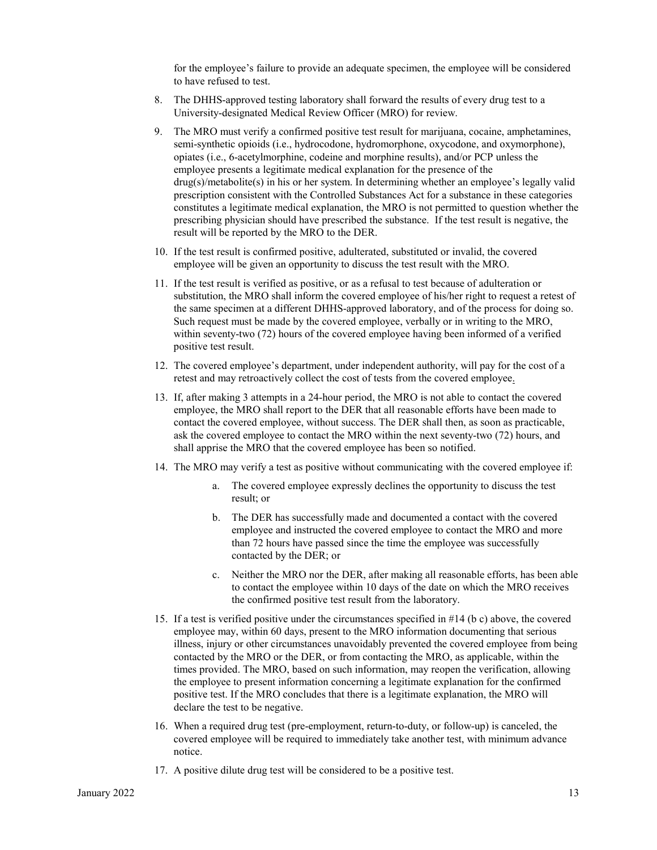for the employee's failure to provide an adequate specimen, the employee will be considered to have refused to test.

- 8. The DHHS-approved testing laboratory shall forward the results of every drug test to a University-designated Medical Review Officer (MRO) for review.
- 9. The MRO must verify a confirmed positive test result for marijuana, cocaine, amphetamines, semi-synthetic opioids (i.e., hydrocodone, hydromorphone, oxycodone, and oxymorphone), opiates (i.e., 6-acetylmorphine, codeine and morphine results), and/or PCP unless the employee presents a legitimate medical explanation for the presence of the drug(s)/metabolite(s) in his or her system. In determining whether an employee's legally valid prescription consistent with the Controlled Substances Act for a substance in these categories constitutes a legitimate medical explanation, the MRO is not permitted to question whether the prescribing physician should have prescribed the substance. If the test result is negative, the result will be reported by the MRO to the DER.
- 10. If the test result is confirmed positive, adulterated, substituted or invalid, the covered employee will be given an opportunity to discuss the test result with the MRO.
- 11. If the test result is verified as positive, or as a refusal to test because of adulteration or substitution, the MRO shall inform the covered employee of his/her right to request a retest of the same specimen at a different DHHS-approved laboratory, and of the process for doing so. Such request must be made by the covered employee, verbally or in writing to the MRO, within seventy-two (72) hours of the covered employee having been informed of a verified positive test result.
- 12. The covered employee's department, under independent authority, will pay for the cost of a retest and may retroactively collect the cost of tests from the covered employee.
- 13. If, after making 3 attempts in a 24-hour period, the MRO is not able to contact the covered employee, the MRO shall report to the DER that all reasonable efforts have been made to contact the covered employee, without success. The DER shall then, as soon as practicable, ask the covered employee to contact the MRO within the next seventy-two (72) hours, and shall apprise the MRO that the covered employee has been so notified.
- 14. The MRO may verify a test as positive without communicating with the covered employee if:
	- a. The covered employee expressly declines the opportunity to discuss the test result; or
	- b. The DER has successfully made and documented a contact with the covered employee and instructed the covered employee to contact the MRO and more than 72 hours have passed since the time the employee was successfully contacted by the DER; or
	- c. Neither the MRO nor the DER, after making all reasonable efforts, has been able to contact the employee within 10 days of the date on which the MRO receives the confirmed positive test result from the laboratory.
- 15. If a test is verified positive under the circumstances specified in #14 (b c) above, the covered employee may, within 60 days, present to the MRO information documenting that serious illness, injury or other circumstances unavoidably prevented the covered employee from being contacted by the MRO or the DER, or from contacting the MRO, as applicable, within the times provided. The MRO, based on such information, may reopen the verification, allowing the employee to present information concerning a legitimate explanation for the confirmed positive test. If the MRO concludes that there is a legitimate explanation, the MRO will declare the test to be negative.
- 16. When a required drug test (pre-employment, return-to-duty, or follow-up) is canceled, the covered employee will be required to immediately take another test, with minimum advance notice.
- 17. A positive dilute drug test will be considered to be a positive test.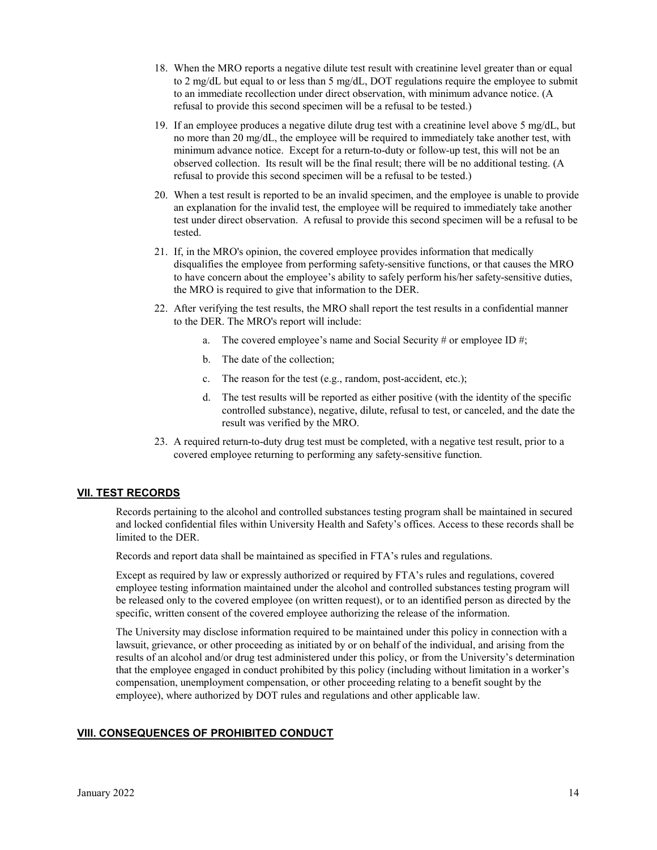- 18. When the MRO reports a negative dilute test result with creatinine level greater than or equal to 2 mg/dL but equal to or less than 5 mg/dL, DOT regulations require the employee to submit to an immediate recollection under direct observation, with minimum advance notice. (A refusal to provide this second specimen will be a refusal to be tested.)
- 19. If an employee produces a negative dilute drug test with a creatinine level above 5 mg/dL, but no more than 20 mg/dL, the employee will be required to immediately take another test, with minimum advance notice. Except for a return-to-duty or follow-up test, this will not be an observed collection. Its result will be the final result; there will be no additional testing. (A refusal to provide this second specimen will be a refusal to be tested.)
- 20. When a test result is reported to be an invalid specimen, and the employee is unable to provide an explanation for the invalid test, the employee will be required to immediately take another test under direct observation. A refusal to provide this second specimen will be a refusal to be tested.
- 21. If, in the MRO's opinion, the covered employee provides information that medically disqualifies the employee from performing safety-sensitive functions, or that causes the MRO to have concern about the employee's ability to safely perform his/her safety-sensitive duties, the MRO is required to give that information to the DER.
- 22. After verifying the test results, the MRO shall report the test results in a confidential manner to the DER. The MRO's report will include:
	- a. The covered employee's name and Social Security # or employee ID #;
	- b. The date of the collection;
	- c. The reason for the test (e.g., random, post-accident, etc.);
	- d. The test results will be reported as either positive (with the identity of the specific controlled substance), negative, dilute, refusal to test, or canceled, and the date the result was verified by the MRO.
- 23. A required return-to-duty drug test must be completed, with a negative test result, prior to a covered employee returning to performing any safety-sensitive function.

## **VII. TEST RECORDS**

Records pertaining to the alcohol and controlled substances testing program shall be maintained in secured and locked confidential files within University Health and Safety's offices. Access to these records shall be limited to the DER.

Records and report data shall be maintained as specified in FTA's rules and regulations.

Except as required by law or expressly authorized or required by FTA's rules and regulations, covered employee testing information maintained under the alcohol and controlled substances testing program will be released only to the covered employee (on written request), or to an identified person as directed by the specific, written consent of the covered employee authorizing the release of the information.

The University may disclose information required to be maintained under this policy in connection with a lawsuit, grievance, or other proceeding as initiated by or on behalf of the individual, and arising from the results of an alcohol and/or drug test administered under this policy, or from the University's determination that the employee engaged in conduct prohibited by this policy (including without limitation in a worker's compensation, unemployment compensation, or other proceeding relating to a benefit sought by the employee), where authorized by DOT rules and regulations and other applicable law.

#### **VIII. CONSEQUENCES OF PROHIBITED CONDUCT**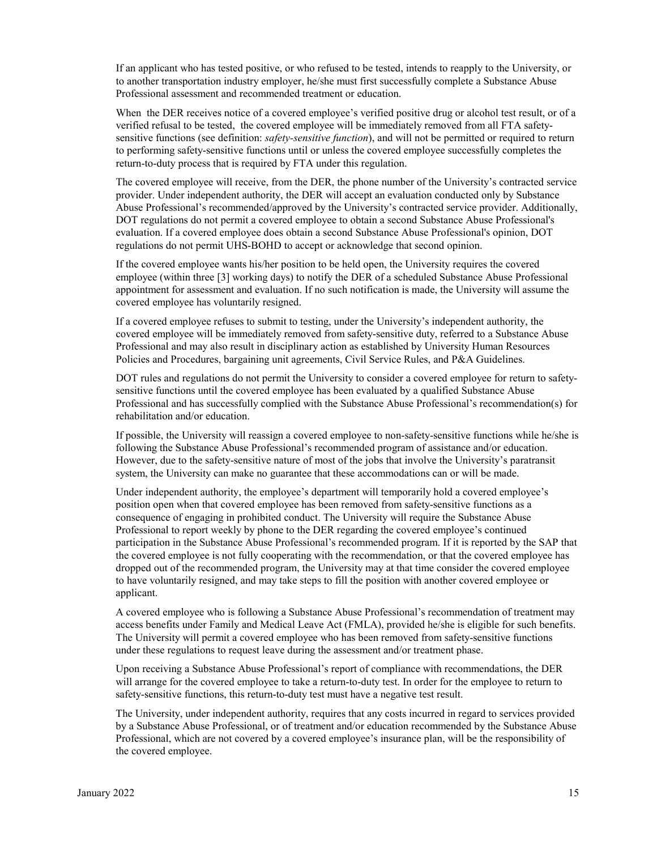If an applicant who has tested positive, or who refused to be tested, intends to reapply to the University, or to another transportation industry employer, he/she must first successfully complete a Substance Abuse Professional assessment and recommended treatment or education.

When the DER receives notice of a covered employee's verified positive drug or alcohol test result, or of a verified refusal to be tested, the covered employee will be immediately removed from all FTA safetysensitive functions (see definition: *safety-sensitive function*), and will not be permitted or required to return to performing safety-sensitive functions until or unless the covered employee successfully completes the return-to-duty process that is required by FTA under this regulation.

The covered employee will receive, from the DER, the phone number of the University's contracted service provider. Under independent authority, the DER will accept an evaluation conducted only by Substance Abuse Professional's recommended/approved by the University's contracted service provider. Additionally, DOT regulations do not permit a covered employee to obtain a second Substance Abuse Professional's evaluation. If a covered employee does obtain a second Substance Abuse Professional's opinion, DOT regulations do not permit UHS-BOHD to accept or acknowledge that second opinion.

If the covered employee wants his/her position to be held open, the University requires the covered employee (within three [3] working days) to notify the DER of a scheduled Substance Abuse Professional appointment for assessment and evaluation. If no such notification is made, the University will assume the covered employee has voluntarily resigned.

If a covered employee refuses to submit to testing, under the University's independent authority, the covered employee will be immediately removed from safety-sensitive duty, referred to a Substance Abuse Professional and may also result in disciplinary action as established by University Human Resources Policies and Procedures, bargaining unit agreements, Civil Service Rules, and P&A Guidelines.

DOT rules and regulations do not permit the University to consider a covered employee for return to safetysensitive functions until the covered employee has been evaluated by a qualified Substance Abuse Professional and has successfully complied with the Substance Abuse Professional's recommendation(s) for rehabilitation and/or education.

If possible, the University will reassign a covered employee to non-safety-sensitive functions while he/she is following the Substance Abuse Professional's recommended program of assistance and/or education. However, due to the safety-sensitive nature of most of the jobs that involve the University's paratransit system, the University can make no guarantee that these accommodations can or will be made.

Under independent authority, the employee's department will temporarily hold a covered employee's position open when that covered employee has been removed from safety-sensitive functions as a consequence of engaging in prohibited conduct. The University will require the Substance Abuse Professional to report weekly by phone to the DER regarding the covered employee's continued participation in the Substance Abuse Professional's recommended program. If it is reported by the SAP that the covered employee is not fully cooperating with the recommendation, or that the covered employee has dropped out of the recommended program, the University may at that time consider the covered employee to have voluntarily resigned, and may take steps to fill the position with another covered employee or applicant.

A covered employee who is following a Substance Abuse Professional's recommendation of treatment may access benefits under Family and Medical Leave Act (FMLA), provided he/she is eligible for such benefits. The University will permit a covered employee who has been removed from safety-sensitive functions under these regulations to request leave during the assessment and/or treatment phase.

Upon receiving a Substance Abuse Professional's report of compliance with recommendations, the DER will arrange for the covered employee to take a return-to-duty test. In order for the employee to return to safety-sensitive functions, this return-to-duty test must have a negative test result.

The University, under independent authority, requires that any costs incurred in regard to services provided by a Substance Abuse Professional, or of treatment and/or education recommended by the Substance Abuse Professional, which are not covered by a covered employee's insurance plan, will be the responsibility of the covered employee.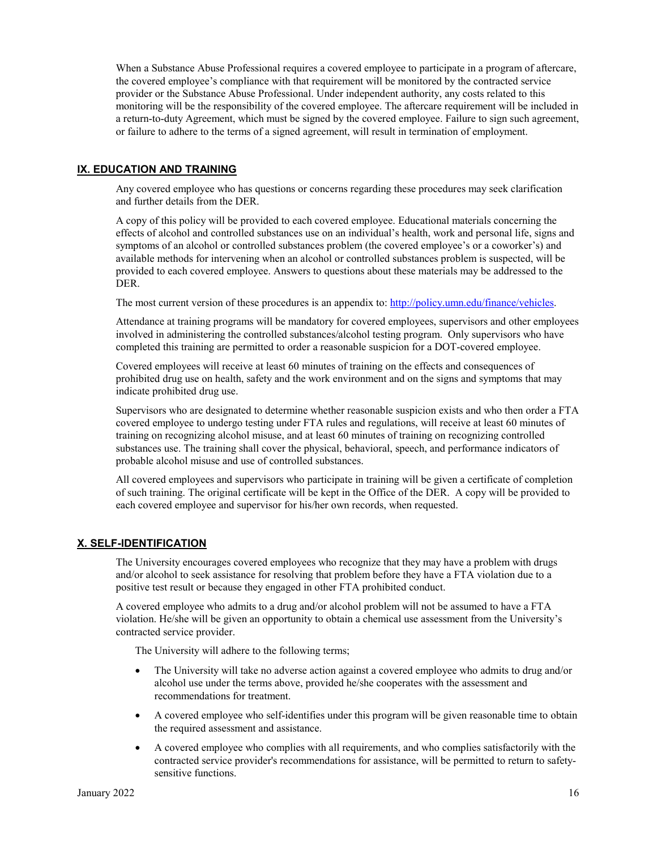When a Substance Abuse Professional requires a covered employee to participate in a program of aftercare, the covered employee's compliance with that requirement will be monitored by the contracted service provider or the Substance Abuse Professional. Under independent authority, any costs related to this monitoring will be the responsibility of the covered employee. The aftercare requirement will be included in a return-to-duty Agreement, which must be signed by the covered employee. Failure to sign such agreement, or failure to adhere to the terms of a signed agreement, will result in termination of employment.

## **IX. EDUCATION AND TRAINING**

Any covered employee who has questions or concerns regarding these procedures may seek clarification and further details from the DER.

A copy of this policy will be provided to each covered employee. Educational materials concerning the effects of alcohol and controlled substances use on an individual's health, work and personal life, signs and symptoms of an alcohol or controlled substances problem (the covered employee's or a coworker's) and available methods for intervening when an alcohol or controlled substances problem is suspected, will be provided to each covered employee. Answers to questions about these materials may be addressed to the DER.

The most current version of these procedures is an appendix to[: http://policy.umn.edu/finance/vehicles.](http://policy.umn.edu/finance/vehicles)

Attendance at training programs will be mandatory for covered employees, supervisors and other employees involved in administering the controlled substances/alcohol testing program. Only supervisors who have completed this training are permitted to order a reasonable suspicion for a DOT-covered employee.

Covered employees will receive at least 60 minutes of training on the effects and consequences of prohibited drug use on health, safety and the work environment and on the signs and symptoms that may indicate prohibited drug use.

Supervisors who are designated to determine whether reasonable suspicion exists and who then order a FTA covered employee to undergo testing under FTA rules and regulations, will receive at least 60 minutes of training on recognizing alcohol misuse, and at least 60 minutes of training on recognizing controlled substances use. The training shall cover the physical, behavioral, speech, and performance indicators of probable alcohol misuse and use of controlled substances.

All covered employees and supervisors who participate in training will be given a certificate of completion of such training. The original certificate will be kept in the Office of the DER. A copy will be provided to each covered employee and supervisor for his/her own records, when requested.

## **X. SELF-IDENTIFICATION**

The University encourages covered employees who recognize that they may have a problem with drugs and/or alcohol to seek assistance for resolving that problem before they have a FTA violation due to a positive test result or because they engaged in other FTA prohibited conduct.

A covered employee who admits to a drug and/or alcohol problem will not be assumed to have a FTA violation. He/she will be given an opportunity to obtain a chemical use assessment from the University's contracted service provider.

The University will adhere to the following terms;

- The University will take no adverse action against a covered employee who admits to drug and/or alcohol use under the terms above, provided he/she cooperates with the assessment and recommendations for treatment.
- A covered employee who self-identifies under this program will be given reasonable time to obtain the required assessment and assistance.
- A covered employee who complies with all requirements, and who complies satisfactorily with the contracted service provider's recommendations for assistance, will be permitted to return to safetysensitive functions.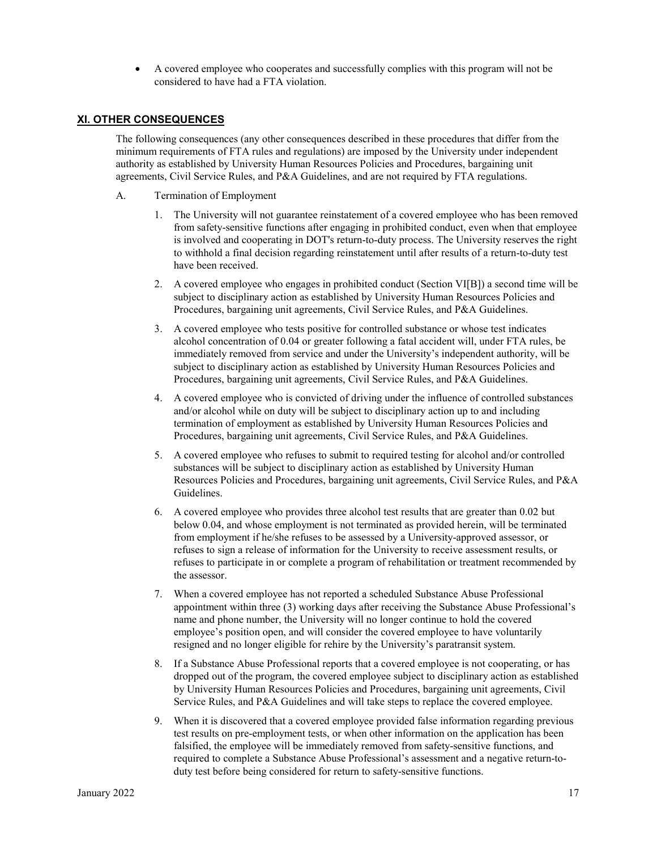• A covered employee who cooperates and successfully complies with this program will not be considered to have had a FTA violation.

#### **XI. OTHER CONSEQUENCES**

The following consequences (any other consequences described in these procedures that differ from the minimum requirements of FTA rules and regulations) are imposed by the University under independent authority as established by University Human Resources Policies and Procedures, bargaining unit agreements, Civil Service Rules, and P&A Guidelines, and are not required by FTA regulations.

- A. Termination of Employment
	- 1. The University will not guarantee reinstatement of a covered employee who has been removed from safety-sensitive functions after engaging in prohibited conduct, even when that employee is involved and cooperating in DOT's return-to-duty process. The University reserves the right to withhold a final decision regarding reinstatement until after results of a return-to-duty test have been received.
	- 2. A covered employee who engages in prohibited conduct (Section VI[B]) a second time will be subject to disciplinary action as established by University Human Resources Policies and Procedures, bargaining unit agreements, Civil Service Rules, and P&A Guidelines.
	- 3. A covered employee who tests positive for controlled substance or whose test indicates alcohol concentration of 0.04 or greater following a fatal accident will, under FTA rules, be immediately removed from service and under the University's independent authority, will be subject to disciplinary action as established by University Human Resources Policies and Procedures, bargaining unit agreements, Civil Service Rules, and P&A Guidelines.
	- 4. A covered employee who is convicted of driving under the influence of controlled substances and/or alcohol while on duty will be subject to disciplinary action up to and including termination of employment as established by University Human Resources Policies and Procedures, bargaining unit agreements, Civil Service Rules, and P&A Guidelines.
	- 5. A covered employee who refuses to submit to required testing for alcohol and/or controlled substances will be subject to disciplinary action as established by University Human Resources Policies and Procedures, bargaining unit agreements, Civil Service Rules, and P&A Guidelines.
	- 6. A covered employee who provides three alcohol test results that are greater than 0.02 but below 0.04, and whose employment is not terminated as provided herein, will be terminated from employment if he/she refuses to be assessed by a University-approved assessor, or refuses to sign a release of information for the University to receive assessment results, or refuses to participate in or complete a program of rehabilitation or treatment recommended by the assessor.
	- 7. When a covered employee has not reported a scheduled Substance Abuse Professional appointment within three (3) working days after receiving the Substance Abuse Professional's name and phone number, the University will no longer continue to hold the covered employee's position open, and will consider the covered employee to have voluntarily resigned and no longer eligible for rehire by the University's paratransit system.
	- 8. If a Substance Abuse Professional reports that a covered employee is not cooperating, or has dropped out of the program, the covered employee subject to disciplinary action as established by University Human Resources Policies and Procedures, bargaining unit agreements, Civil Service Rules, and P&A Guidelines and will take steps to replace the covered employee.
	- 9. When it is discovered that a covered employee provided false information regarding previous test results on pre-employment tests, or when other information on the application has been falsified, the employee will be immediately removed from safety-sensitive functions, and required to complete a Substance Abuse Professional's assessment and a negative return-toduty test before being considered for return to safety-sensitive functions.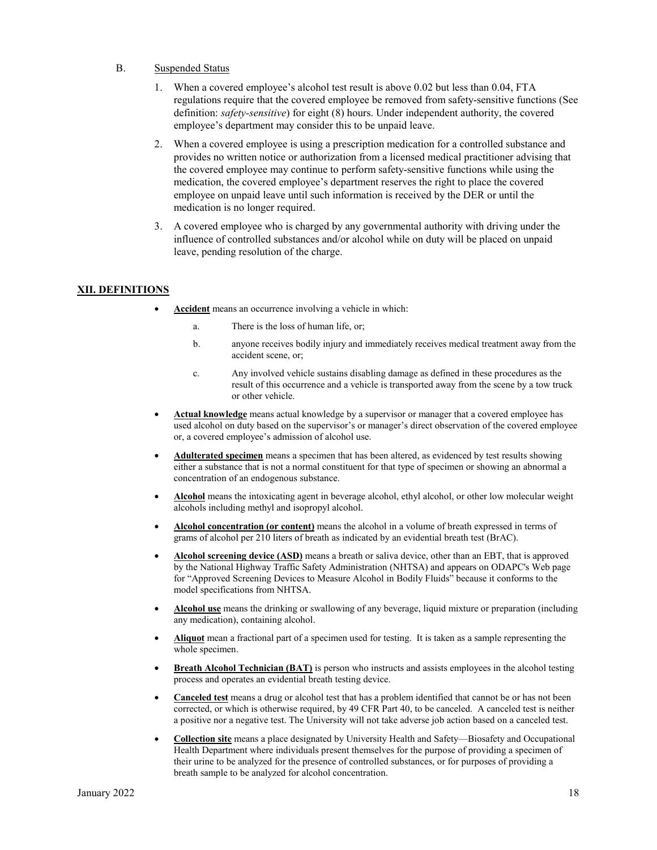#### B. Suspended Status

- 1. When a covered employee's alcohol test result is above 0.02 but less than 0.04, FTA regulations require that the covered employee be removed from safety-sensitive functions (See definition: *safety-sensitive*) for eight (8) hours. Under independent authority, the covered employee's department may consider this to be unpaid leave.
- 2. When a covered employee is using a prescription medication for a controlled substance and provides no written notice or authorization from a licensed medical practitioner advising that the covered employee may continue to perform safety-sensitive functions while using the medication, the covered employee's department reserves the right to place the covered employee on unpaid leave until such information is received by the DER or until the medication is no longer required.
- 3. A covered employee who is charged by any governmental authority with driving under the influence of controlled substances and/or alcohol while on duty will be placed on unpaid leave, pending resolution of the charge.

#### **XII. DEFINITIONS**

- **Accident** means an occurrence involving a vehicle in which:
	- a. There is the loss of human life, or;
	- b. anyone receives bodily injury and immediately receives medical treatment away from the accident scene, or;
	- c. Any involved vehicle sustains disabling damage as defined in these procedures as the result of this occurrence and a vehicle is transported away from the scene by a tow truck or other vehicle.
- **Actual knowledge** means actual knowledge by a supervisor or manager that a covered employee has used alcohol on duty based on the supervisor's or manager's direct observation of the covered employee or, a covered employee's admission of alcohol use.
- **Adulterated specimen** means a specimen that has been altered, as evidenced by test results showing either a substance that is not a normal constituent for that type of specimen or showing an abnormal a concentration of an endogenous substance.
- **Alcohol** means the intoxicating agent in beverage alcohol, ethyl alcohol, or other low molecular weight alcohols including methyl and isopropyl alcohol.
- **Alcohol concentration (or content)** means the alcohol in a volume of breath expressed in terms of grams of alcohol per 210 liters of breath as indicated by an evidential breath test (BrAC).
- **Alcohol screening device (ASD)** means a breath or saliva device, other than an EBT, that is approved by the National Highway Traffic Safety Administration (NHTSA) and appears on ODAPC's Web page for "Approved Screening Devices to Measure Alcohol in Bodily Fluids" because it conforms to the model specifications from NHTSA.
- **Alcohol use** means the drinking or swallowing of any beverage, liquid mixture or preparation (including any medication), containing alcohol.
- **Aliquot** mean a fractional part of a specimen used for testing. It is taken as a sample representing the whole specimen.
- **Breath Alcohol Technician (BAT)** is person who instructs and assists employees in the alcohol testing process and operates an evidential breath testing device.
- **Canceled test** means a drug or alcohol test that has a problem identified that cannot be or has not been corrected, or which is otherwise required, by 49 CFR Part 40, to be canceled. A canceled test is neither a positive nor a negative test. The University will not take adverse job action based on a canceled test.
- **Collection site** means a place designated by University Health and Safety—Biosafety and Occupational Health Department where individuals present themselves for the purpose of providing a specimen of their urine to be analyzed for the presence of controlled substances, or for purposes of providing a breath sample to be analyzed for alcohol concentration.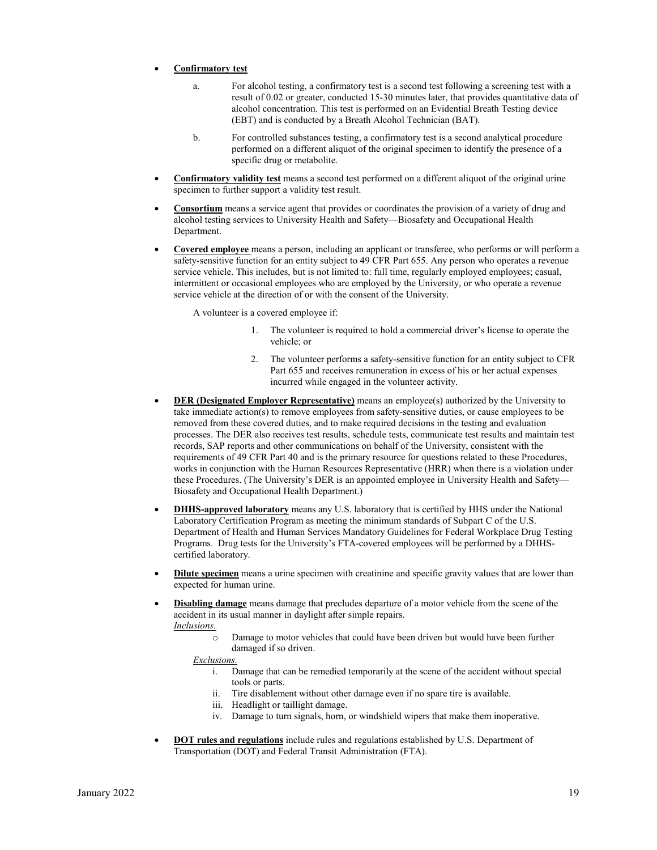#### • **Confirmatory test**

- a. For alcohol testing, a confirmatory test is a second test following a screening test with a result of 0.02 or greater, conducted 15-30 minutes later, that provides quantitative data of alcohol concentration. This test is performed on an Evidential Breath Testing device (EBT) and is conducted by a Breath Alcohol Technician (BAT).
- b. For controlled substances testing, a confirmatory test is a second analytical procedure performed on a different aliquot of the original specimen to identify the presence of a specific drug or metabolite.
- **Confirmatory validity test** means a second test performed on a different aliquot of the original urine specimen to further support a validity test result.
- **Consortium** means a service agent that provides or coordinates the provision of a variety of drug and alcohol testing services to University Health and Safety—Biosafety and Occupational Health Department.
- **Covered employee** means a person, including an applicant or transferee, who performs or will perform a safety-sensitive function for an entity subject to 49 CFR Part 655. Any person who operates a revenue service vehicle. This includes, but is not limited to: full time, regularly employed employees; casual, intermittent or occasional employees who are employed by the University, or who operate a revenue service vehicle at the direction of or with the consent of the University.

A volunteer is a covered employee if:

- 1. The volunteer is required to hold a commercial driver's license to operate the vehicle; or
- 2. The volunteer performs a safety-sensitive function for an entity subject to CFR Part 655 and receives remuneration in excess of his or her actual expenses incurred while engaged in the volunteer activity.
- **DER (Designated Employer Representative)** means an employee(s) authorized by the University to take immediate action(s) to remove employees from safety-sensitive duties, or cause employees to be removed from these covered duties, and to make required decisions in the testing and evaluation processes. The DER also receives test results, schedule tests, communicate test results and maintain test records, SAP reports and other communications on behalf of the University, consistent with the requirements of 49 CFR Part 40 and is the primary resource for questions related to these Procedures, works in conjunction with the Human Resources Representative (HRR) when there is a violation under these Procedures. (The University's DER is an appointed employee in University Health and Safety— Biosafety and Occupational Health Department.)
- **DHHS-approved laboratory** means any U.S. laboratory that is certified by HHS under the National Laboratory Certification Program as meeting the minimum standards of Subpart C of the U.S. Department of Health and Human Services Mandatory Guidelines for Federal Workplace Drug Testing Programs. Drug tests for the University's FTA-covered employees will be performed by a DHHScertified laboratory.
- **Dilute specimen** means a urine specimen with creatinine and specific gravity values that are lower than expected for human urine.
- **Disabling damage** means damage that precludes departure of a motor vehicle from the scene of the accident in its usual manner in daylight after simple repairs. *Inclusions.*
	- o Damage to motor vehicles that could have been driven but would have been further damaged if so driven.

*Exclusions.*

- i. Damage that can be remedied temporarily at the scene of the accident without special tools or parts.
- ii. Tire disablement without other damage even if no spare tire is available.
- iii. Headlight or taillight damage.
- iv. Damage to turn signals, horn, or windshield wipers that make them inoperative.
- **DOT rules and regulations** include rules and regulations established by U.S. Department of Transportation (DOT) and Federal Transit Administration (FTA).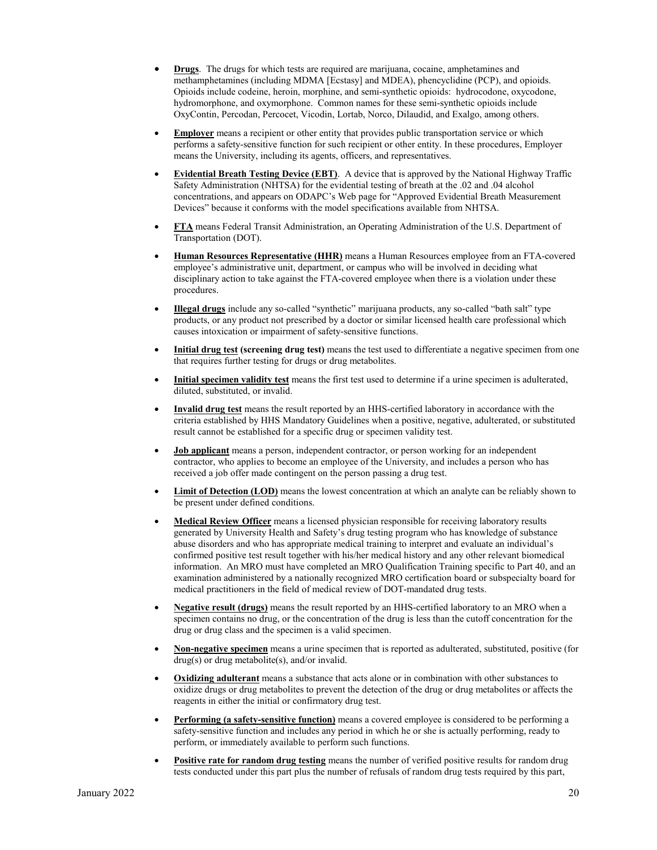- **Drugs**. The drugs for which tests are required are marijuana, cocaine, amphetamines and methamphetamines (including MDMA [Ecstasy] and MDEA), phencyclidine (PCP), and opioids. Opioids include codeine, heroin, morphine, and semi-synthetic opioids: hydrocodone, oxycodone, hydromorphone, and oxymorphone. Common names for these semi-synthetic opioids include OxyContin, Percodan, Percocet, Vicodin, Lortab, Norco, Dilaudid, and Exalgo, among others.
- **Employer** means a recipient or other entity that provides public transportation service or which performs a safety-sensitive function for such recipient or other entity. In these procedures, Employer means the University, including its agents, officers, and representatives.
- **Evidential Breath Testing Device (EBT)**. A device that is approved by the National Highway Traffic Safety Administration (NHTSA) for the evidential testing of breath at the .02 and .04 alcohol concentrations, and appears on ODAPC's Web page for "Approved Evidential Breath Measurement Devices" because it conforms with the model specifications available from NHTSA.
- **FTA** means Federal Transit Administration, an Operating Administration of the U.S. Department of Transportation (DOT).
- **Human Resources Representative (HHR)** means a Human Resources employee from an FTA-covered employee's administrative unit, department, or campus who will be involved in deciding what disciplinary action to take against the FTA-covered employee when there is a violation under these procedures.
- **Illegal drugs** include any so-called "synthetic" marijuana products, any so-called "bath salt" type products, or any product not prescribed by a doctor or similar licensed health care professional which causes intoxication or impairment of safety-sensitive functions.
- **Initial drug test (screening drug test)** means the test used to differentiate a negative specimen from one that requires further testing for drugs or drug metabolites.
- **Initial specimen validity test** means the first test used to determine if a urine specimen is adulterated, diluted, substituted, or invalid.
- **Invalid drug test** means the result reported by an HHS-certified laboratory in accordance with the criteria established by HHS Mandatory Guidelines when a positive, negative, adulterated, or substituted result cannot be established for a specific drug or specimen validity test.
- **Job applicant** means a person, independent contractor, or person working for an independent contractor, who applies to become an employee of the University, and includes a person who has received a job offer made contingent on the person passing a drug test.
- **Limit of Detection (LOD)** means the lowest concentration at which an analyte can be reliably shown to be present under defined conditions.
- **Medical Review Officer** means a licensed physician responsible for receiving laboratory results generated by University Health and Safety's drug testing program who has knowledge of substance abuse disorders and who has appropriate medical training to interpret and evaluate an individual's confirmed positive test result together with his/her medical history and any other relevant biomedical information. An MRO must have completed an MRO Qualification Training specific to Part 40, and an examination administered by a nationally recognized MRO certification board or subspecialty board for medical practitioners in the field of medical review of DOT-mandated drug tests.
- **Negative result (drugs)** means the result reported by an HHS-certified laboratory to an MRO when a specimen contains no drug, or the concentration of the drug is less than the cutoff concentration for the drug or drug class and the specimen is a valid specimen.
- **Non-negative specimen** means a urine specimen that is reported as adulterated, substituted, positive (for drug(s) or drug metabolite(s), and/or invalid.
- **Oxidizing adulterant** means a substance that acts alone or in combination with other substances to oxidize drugs or drug metabolites to prevent the detection of the drug or drug metabolites or affects the reagents in either the initial or confirmatory drug test.
- **Performing (a safety-sensitive function)** means a covered employee is considered to be performing a safety-sensitive function and includes any period in which he or she is actually performing, ready to perform, or immediately available to perform such functions.
- **Positive rate for random drug testing** means the number of verified positive results for random drug tests conducted under this part plus the number of refusals of random drug tests required by this part,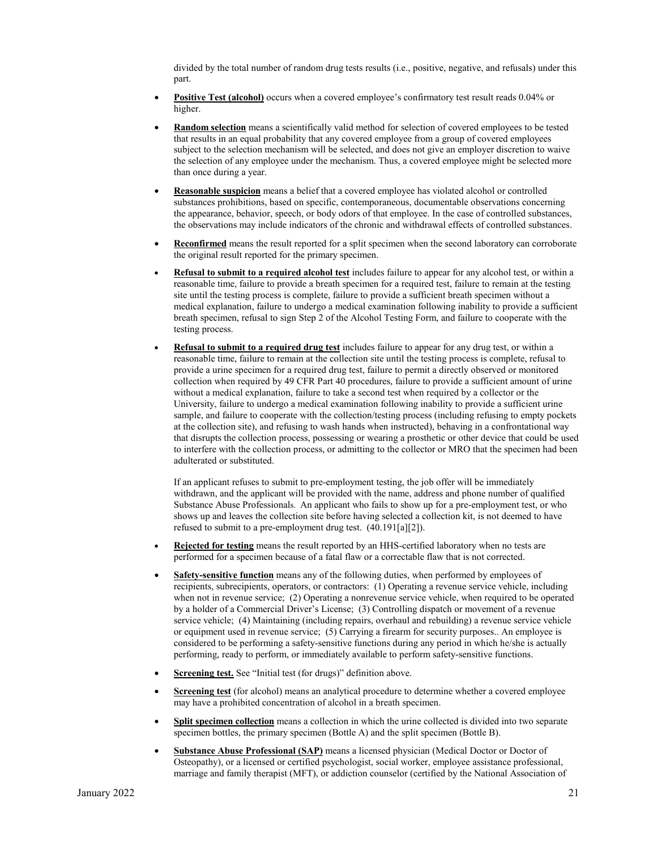divided by the total number of random drug tests results (i.e., positive, negative, and refusals) under this part.

- **Positive Test (alcohol)** occurs when a covered employee's confirmatory test result reads 0.04% or higher.
- **Random selection** means a scientifically valid method for selection of covered employees to be tested that results in an equal probability that any covered employee from a group of covered employees subject to the selection mechanism will be selected, and does not give an employer discretion to waive the selection of any employee under the mechanism. Thus, a covered employee might be selected more than once during a year.
- **Reasonable suspicion** means a belief that a covered employee has violated alcohol or controlled substances prohibitions, based on specific, contemporaneous, documentable observations concerning the appearance, behavior, speech, or body odors of that employee. In the case of controlled substances, the observations may include indicators of the chronic and withdrawal effects of controlled substances.
- **Reconfirmed** means the result reported for a split specimen when the second laboratory can corroborate the original result reported for the primary specimen.
- **Refusal to submit to a required alcohol test** includes failure to appear for any alcohol test, or within a reasonable time, failure to provide a breath specimen for a required test, failure to remain at the testing site until the testing process is complete, failure to provide a sufficient breath specimen without a medical explanation, failure to undergo a medical examination following inability to provide a sufficient breath specimen, refusal to sign Step 2 of the Alcohol Testing Form, and failure to cooperate with the testing process.
- **Refusal to submit to a required drug test** includes failure to appear for any drug test, or within a reasonable time, failure to remain at the collection site until the testing process is complete, refusal to provide a urine specimen for a required drug test, failure to permit a directly observed or monitored collection when required by 49 CFR Part 40 procedures, failure to provide a sufficient amount of urine without a medical explanation, failure to take a second test when required by a collector or the University, failure to undergo a medical examination following inability to provide a sufficient urine sample, and failure to cooperate with the collection/testing process (including refusing to empty pockets at the collection site), and refusing to wash hands when instructed), behaving in a confrontational way that disrupts the collection process, possessing or wearing a prosthetic or other device that could be used to interfere with the collection process, or admitting to the collector or MRO that the specimen had been adulterated or substituted.

If an applicant refuses to submit to pre-employment testing, the job offer will be immediately withdrawn, and the applicant will be provided with the name, address and phone number of qualified Substance Abuse Professionals. An applicant who fails to show up for a pre-employment test, or who shows up and leaves the collection site before having selected a collection kit, is not deemed to have refused to submit to a pre-employment drug test. (40.191[a][2]).

- **Rejected for testing** means the result reported by an HHS-certified laboratory when no tests are performed for a specimen because of a fatal flaw or a correctable flaw that is not corrected.
- **Safety-sensitive function** means any of the following duties, when performed by employees of recipients, subrecipients, operators, or contractors: (1) Operating a revenue service vehicle, including when not in revenue service; (2) Operating a nonrevenue service vehicle, when required to be operated by a holder of a Commercial Driver's License; (3) Controlling dispatch or movement of a revenue service vehicle; (4) Maintaining (including repairs, overhaul and rebuilding) a revenue service vehicle or equipment used in revenue service; (5) Carrying a firearm for security purposes.. An employee is considered to be performing a safety-sensitive functions during any period in which he/she is actually performing, ready to perform, or immediately available to perform safety-sensitive functions.
- **<u>Screening test.</u>** See "Initial test (for drugs)" definition above.
- **<u>Screening test</u>** (for alcohol) means an analytical procedure to determine whether a covered employee may have a prohibited concentration of alcohol in a breath specimen.
- **Split specimen collection** means a collection in which the urine collected is divided into two separate specimen bottles, the primary specimen (Bottle A) and the split specimen (Bottle B).
- **Substance Abuse Professional (SAP)** means a licensed physician (Medical Doctor or Doctor of Osteopathy), or a licensed or certified psychologist, social worker, employee assistance professional, marriage and family therapist (MFT), or addiction counselor (certified by the National Association of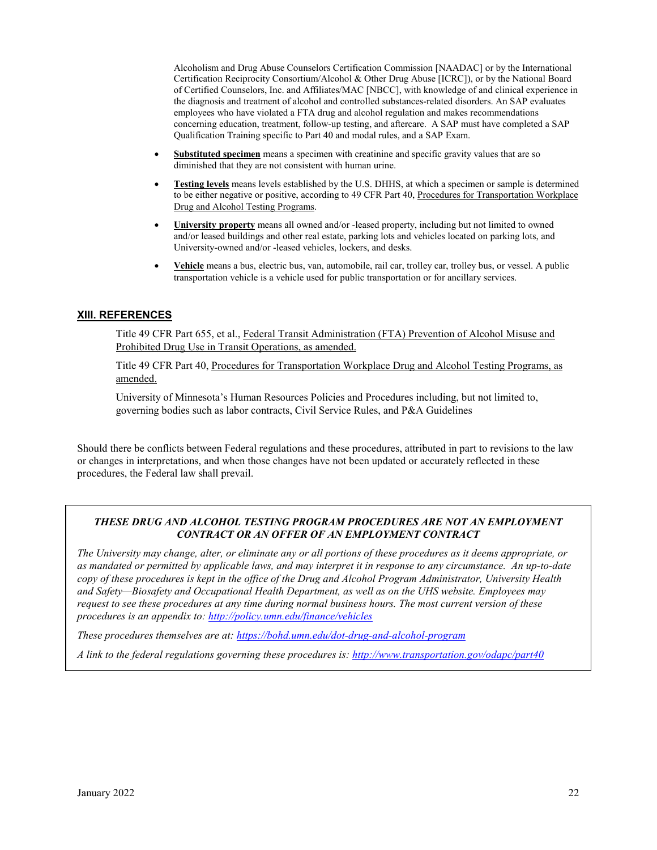Alcoholism and Drug Abuse Counselors Certification Commission [NAADAC] or by the International Certification Reciprocity Consortium/Alcohol & Other Drug Abuse [ICRC]), or by the National Board of Certified Counselors, Inc. and Affiliates/MAC [NBCC], with knowledge of and clinical experience in the diagnosis and treatment of alcohol and controlled substances-related disorders. An SAP evaluates employees who have violated a FTA drug and alcohol regulation and makes recommendations concerning education, treatment, follow-up testing, and aftercare. A SAP must have completed a SAP Qualification Training specific to Part 40 and modal rules, and a SAP Exam.

- **Substituted specimen** means a specimen with creatinine and specific gravity values that are so diminished that they are not consistent with human urine.
- **Testing levels** means levels established by the U.S. DHHS, at which a specimen or sample is determined to be either negative or positive, according to 49 CFR Part 40, Procedures for Transportation Workplace Drug and Alcohol Testing Programs.
- **University property** means all owned and/or -leased property, including but not limited to owned and/or leased buildings and other real estate, parking lots and vehicles located on parking lots, and University-owned and/or -leased vehicles, lockers, and desks.
- **Vehicle** means a bus, electric bus, van, automobile, rail car, trolley car, trolley bus, or vessel. A public transportation vehicle is a vehicle used for public transportation or for ancillary services.

#### **XIII. REFERENCES**

Title 49 CFR Part 655, et al., Federal Transit Administration (FTA) Prevention of Alcohol Misuse and Prohibited Drug Use in Transit Operations, as amended.

Title 49 CFR Part 40, Procedures for Transportation Workplace Drug and Alcohol Testing Programs, as amended.

University of Minnesota's Human Resources Policies and Procedures including, but not limited to, governing bodies such as labor contracts, Civil Service Rules, and P&A Guidelines

Should there be conflicts between Federal regulations and these procedures, attributed in part to revisions to the law or changes in interpretations, and when those changes have not been updated or accurately reflected in these procedures, the Federal law shall prevail.

#### *THESE DRUG AND ALCOHOL TESTING PROGRAM PROCEDURES ARE NOT AN EMPLOYMENT CONTRACT OR AN OFFER OF AN EMPLOYMENT CONTRACT*

*The University may change, alter, or eliminate any or all portions of these procedures as it deems appropriate, or as mandated or permitted by applicable laws, and may interpret it in response to any circumstance. An up-to-date copy of these procedures is kept in the office of the Drug and Alcohol Program Administrator, University Health and Safety—Biosafety and Occupational Health Department, as well as on the UHS website. Employees may request to see these procedures at any time during normal business hours. The most current version of these procedures is an appendix to:<http://policy.umn.edu/finance/vehicles>*

*These procedures themselves are at[: https://bohd.umn.edu/dot-drug-and-alcohol-program](https://bohd.umn.edu/dot-drug-and-alcohol-program)*

*A link to the federal regulations governing these procedures is:<http://www.transportation.gov/odapc/part40>*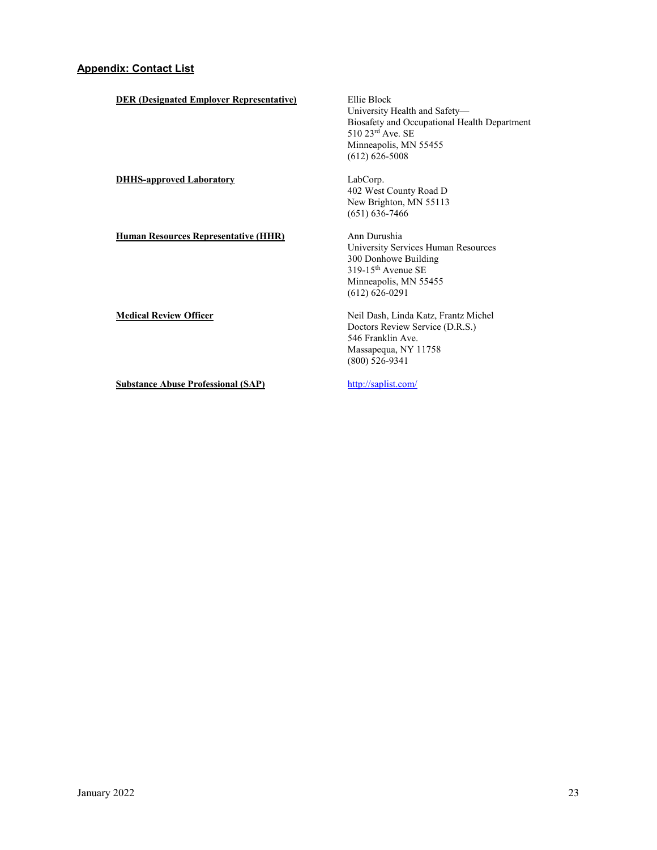**DER (Designated Employer Representative)** Ellie Block University Health and Safety— Biosafety and Occupational Health Department 510 23rd Ave. SE Minneapolis, MN 55455 (612) 626-5008 **DHHS-approved Laboratory** LabCorp. 402 West County Road D New Brighton, MN 55113 (651) 636-7466 **Human Resources Representative (HHR)** Ann Durushia University Services Human Resources 300 Donhowe Building 319-15th Avenue SE Minneapolis, MN 55455 (612) 626-0291 **Medical Review Officer** Neil Dash, Linda Katz, Frantz Michel Doctors Review Service (D.R.S.) 546 Franklin Ave. Massapequa, NY 11758 (800) 526-9341 **Substance Abuse Professional (SAP)** <http://saplist.com/>